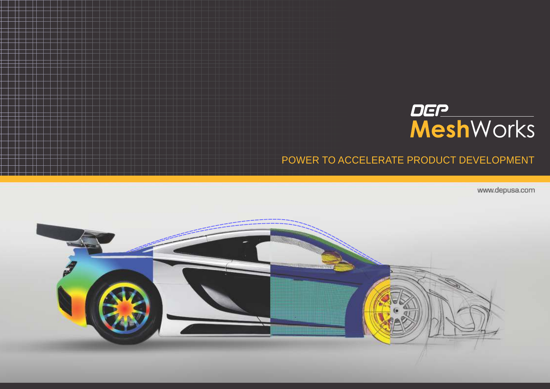

# POWER TO ACCELERATE PRODUCT DEVELOPMENT

www.depusa.com

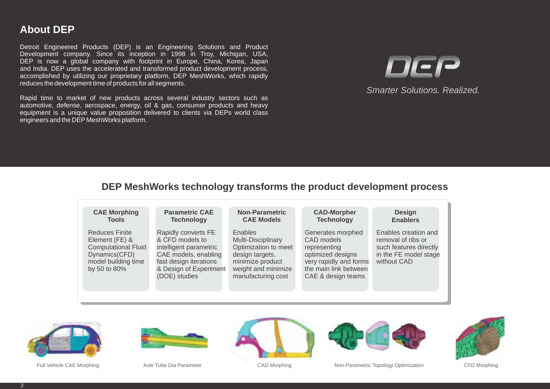## **About DEP**

Detroit Engineered Products (DEP) is an Engineering Solutions and Product Development company. Since its inception in 1998 in Troy, Michigan, USA, DEP is now a global company with footprint in Europe, China, Korea, Japan and India. DEP uses the accelerated and transformed product development process, accomplished by utilizing our proprietary platform, DEP MeshWorks, which rapidly reduces the development time of products for all segments.

Rapid time to market of new products across several industry sectors such as automotive, defense, aerospace, energy, oil & gas, consumer products and heavy equipment is a unique value proposition delivered to clients via DEPs world class engineers and the DEP MeshWorks platform.



*Smarter Solutions. Realized.*

#### **DEP MeshWorks technology transforms the product development process**















Full Vehicle CAE Morphing  $\sim$  Axle Tube Dia Parameter CAD Morphing CAD Morphing Non-Parametric Topology Optimization CFD Morphing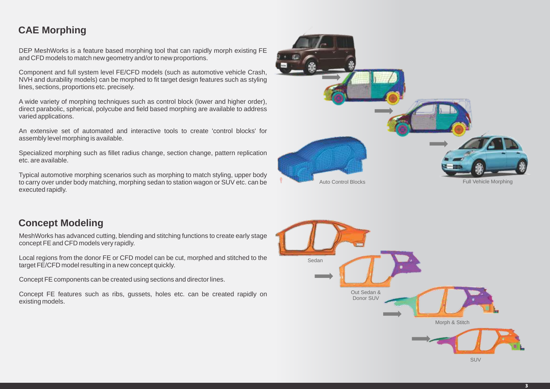## **CAE Morphing**

DEP MeshWorks is a feature based morphing tool that can rapidly morph existing FE and CFD models to match new geometry and/or to new proportions.

Component and full system level FE/CFD models (such as automotive vehicle Crash, NVH and durability models) can be morphed to fit target design features such as styling lines, sections, proportions etc. precisely.

A wide variety of morphing techniques such as control block (lower and higher order), direct parabolic, spherical, polycube and field based morphing are available to address varied applications.

An extensive set of automated and interactive tools to create 'control blocks' for assembly level morphing is available.

Specialized morphing such as fillet radius change, section change, pattern replication etc. are available.

Typical automotive morphing scenarios such as morphing to match styling, upper body to carry over under body matching, morphing sedan to station wagon or SUV etc. can be executed rapidly.

### **Concept Modeling**

MeshWorks has advanced cutting, blending and stitching functions to create early stage concept FE and CFD models very rapidly.

Local regions from the donor FE or CFD model can be cut, morphed and stitched to the target FE/CFD model resulting in a new concept quickly.

Concept FE components can be created using sections and director lines.

Concept FE features such as ribs, gussets, holes etc. can be created rapidly on existing models.



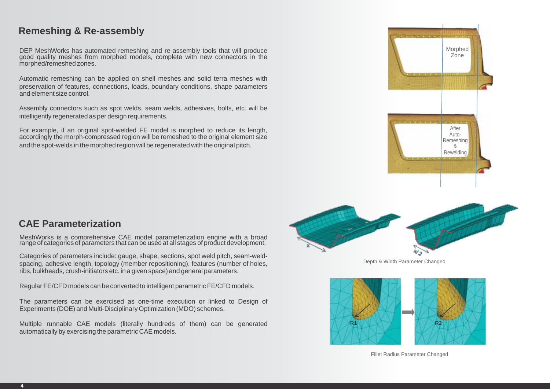#### **Remeshing & Re-assembly**

DEP MeshWorks has automated remeshing and re-assembly tools that will produce good quality meshes from morphed models, complete with new connectors in the morphed/remeshed zones.

Automatic remeshing can be applied on shell meshes and solid terra meshes with preservation of features, connections, loads, boundary conditions, shape parameters and element size control.

Assembly connectors such as spot welds, seam welds, adhesives, bolts, etc. will be intelligently regenerated as per design requirements.

For example, if an original spot-welded FE model is morphed to reduce its length, accordingly the morph-compressed region will be remeshed to the original element size and the spot-welds in the morphed region will be regenerated with the original pitch.





Depth & Width Parameter Changed



#### Fillet Radius Parameter Changed

#### **CAE Parameterization**

MeshWorks is a comprehensive CAE model parameterization engine with a broad range of categories of parameters that can be used at all stages of product development.

Categories of parameters include: gauge, shape, sections, spot weld pitch, seam-weldspacing, adhesive length, topology (member repositioning), features (number of holes, ribs, bulkheads, crush-initiators etc. in a given space) and general parameters.

Regular FE/CFD models can be converted to intelligent parametric FE/CFD models.

The parameters can be exercised as one-time execution or linked to Design of Experiments (DOE) and Multi-Disciplinary Optimization (MDO) schemes.

Multiple runnable CAE models (literally hundreds of them) can be generated automatically by exercising the parametric CAE models.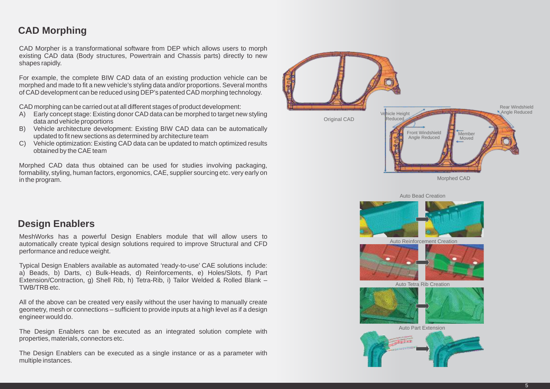## **CAD Morphing**

CAD Morpher is a transformational software from DEP which allows users to morph existing CAD data (Body structures, Powertrain and Chassis parts) directly to new shapes rapidly.

For example, the complete BIW CAD data of an existing production vehicle can be morphed and made to fit a new vehicle's styling data and/or proportions. Several months of CAD development can be reduced using DEP's patented CAD morphing technology.

CAD morphing can be carried out at all different stages of product development:

- A) Early concept stage: Existing donor CAD data can be morphed to target new styling data and vehicle proportions
- B) Vehicle architecture development: Existing BIW CAD data can be automatically updated to fit new sections as determined by architecture team
- C) Vehicle optimization: Existing CAD data can be updated to match optimized results obtained by the CAE team

Morphed CAD data thus obtained can be used for studies involving packaging, formability, styling, human factors, ergonomics, CAE, supplier sourcing etc. very early on in the program.



Auto Bead Creation



Auto Reinforcement Creation



Auto Tetra Rib Creation



Auto Part Extension



#### **Design Enablers**

MeshWorks has a powerful Design Enablers module that will allow users to automatically create typical design solutions required to improve Structural and CFD performance and reduce weight.

Typical Design Enablers available as automated 'ready-to-use' CAE solutions include: a) Beads, b) Darts, c) Bulk-Heads, d) Reinforcements, e) Holes/Slots, f) Part Extension/Contraction, g) Shell Rib, h) Tetra-Rib, i) Tailor Welded & Rolled Blank – TWB/TRB etc.

All of the above can be created very easily without the user having to manually create geometry, mesh or connections – sufficient to provide inputs at a high level as if a design engineer would do.

The Design Enablers can be executed as an integrated solution complete with properties, materials, connectors etc.

The Design Enablers can be executed as a single instance or as a parameter with multiple instances.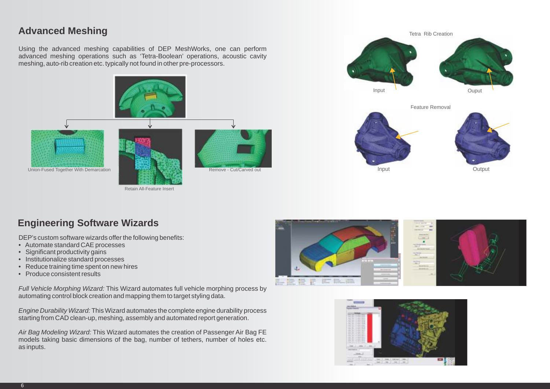#### **Advanced Meshing**

Using the advanced meshing capabilities of DEP MeshWorks, one can perform advanced meshing operations such as 'Tetra-Boolean' operations, acoustic cavity meshing, auto-rib creation etc. typically not found in other pre-processors.



Retain All-Feature Insert







### **Engineering Software Wizards**

DEP's custom software wizards offer the following benefits:

- Automate standard CAE processes
- Significant productivity gains
- Institutionalize standard processes
- Reduce training time spent on new hires
- Produce consistent results

*Full Vehicle Morphing Wizard:* This Wizard automates full vehicle morphing process by automating control block creation and mapping them to target styling data.

*Engine Durability Wizard:* This Wizard automates the complete engine durability process starting from CAD clean-up, meshing, assembly and automated report generation.

*Air Bag Modeling Wizard:* This Wizard automates the creation of Passenger Air Bag FE models taking basic dimensions of the bag, number of tethers, number of holes etc. as inputs.



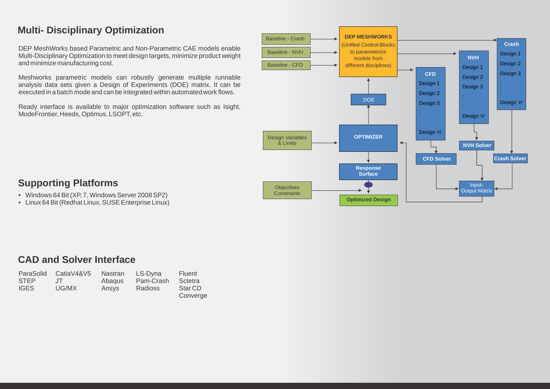## **Multi- Disciplinary Optimization**

DEP MeshWorks based Parametric and Non-Parametric CAE models enable Multi-Disciplinary Optimization to meet design targets, minimize product weight and minimize manufacturing cost.

Meshworks parametric models can robustly generate multiple runnable analysis data sets given a Design of Experiments (DOE) matrix. It can be executed in a batch mode and can be integrated within automated work flows.

Ready interface is available to major optimization software such as Isight, ModeFrontier, Heeds, Optimus, LSOPT, etc.



## **Supporting Platforms**

- Windows 64 Bit (XP, 7, Windows Server 2008 SP2)
- Linux 64 Bit (Redhat Linux, SUSE Enterprise Linux)

#### **CAD and Solver Interface**

| ParaSolid   | CatiaV4&V5 | Nastran | LS-Dyna        | Fluent             |
|-------------|------------|---------|----------------|--------------------|
| <b>STEP</b> | $\Box$     | Abagus  | Pam-Crash      | Sctetra            |
| <b>IGES</b> | UG/MX      | Ansys   | <b>Radioss</b> | Star <sub>CD</sub> |
|             |            |         |                | Converge           |